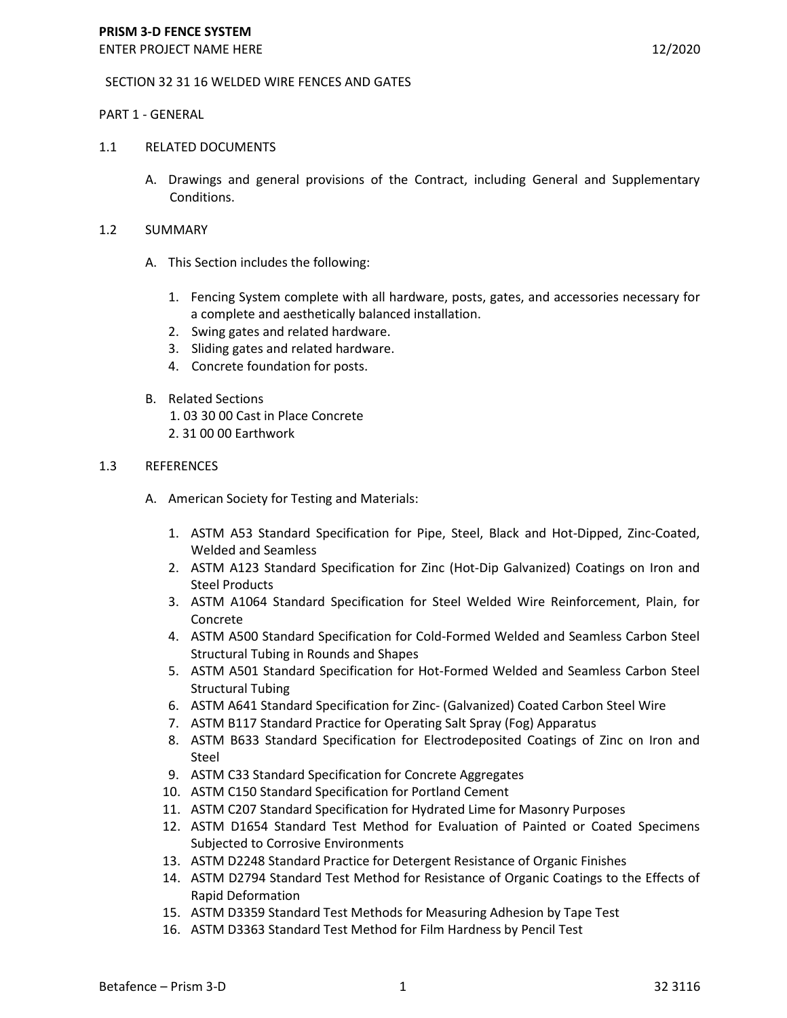## SECTION 32 31 16 WELDED WIRE FENCES AND GATES

## PART 1 - GENERAL

## 1.1 RELATED DOCUMENTS

- A. Drawings and general provisions of the Contract, including General and Supplementary Conditions.
- 1.2 SUMMARY
	- A. This Section includes the following:
		- 1. Fencing System complete with all hardware, posts, gates, and accessories necessary for a complete and aesthetically balanced installation.
		- 2. Swing gates and related hardware.
		- 3. Sliding gates and related hardware.
		- 4. Concrete foundation for posts.
	- B. Related Sections 1. 03 30 00 Cast in Place Concrete 2. 31 00 00 Earthwork

# 1.3 REFERENCES

- A. American Society for Testing and Materials:
	- 1. ASTM A53 Standard Specification for Pipe, Steel, Black and Hot-Dipped, Zinc-Coated, Welded and Seamless
	- 2. ASTM A123 Standard Specification for Zinc (Hot-Dip Galvanized) Coatings on Iron and Steel Products
	- 3. ASTM A1064 Standard Specification for Steel Welded Wire Reinforcement, Plain, for Concrete
	- 4. ASTM A500 Standard Specification for Cold-Formed Welded and Seamless Carbon Steel Structural Tubing in Rounds and Shapes
	- 5. ASTM A501 Standard Specification for Hot-Formed Welded and Seamless Carbon Steel Structural Tubing
	- 6. ASTM A641 Standard Specification for Zinc- (Galvanized) Coated Carbon Steel Wire
	- 7. ASTM B117 Standard Practice for Operating Salt Spray (Fog) Apparatus
	- 8. ASTM B633 Standard Specification for Electrodeposited Coatings of Zinc on Iron and Steel
	- 9. ASTM C33 Standard Specification for Concrete Aggregates
	- 10. ASTM C150 Standard Specification for Portland Cement
	- 11. ASTM C207 Standard Specification for Hydrated Lime for Masonry Purposes
	- 12. ASTM D1654 Standard Test Method for Evaluation of Painted or Coated Specimens Subjected to Corrosive Environments
	- 13. ASTM D2248 Standard Practice for Detergent Resistance of Organic Finishes
	- 14. ASTM D2794 Standard Test Method for Resistance of Organic Coatings to the Effects of Rapid Deformation
	- 15. ASTM D3359 Standard Test Methods for Measuring Adhesion by Tape Test
	- 16. ASTM D3363 Standard Test Method for Film Hardness by Pencil Test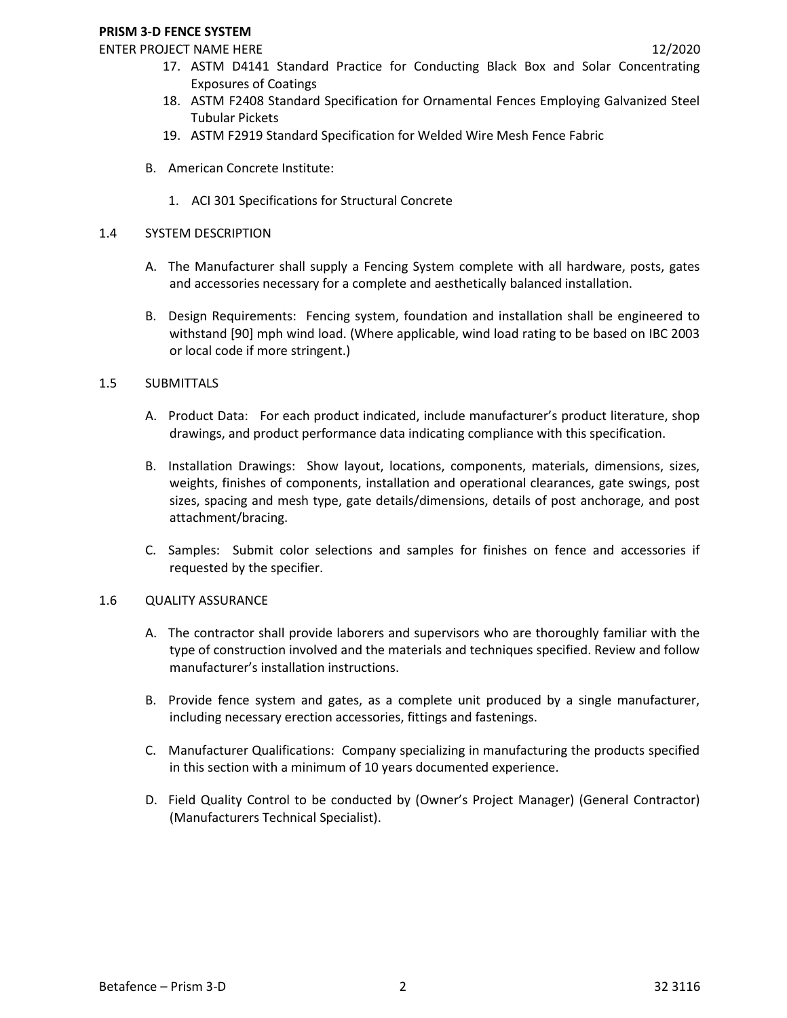## **PRISM 3-D FENCE SYSTEM**

# ENTER PROJECT NAME HERE 12/2020

- 17. ASTM D4141 Standard Practice for Conducting Black Box and Solar Concentrating Exposures of Coatings
- 18. ASTM F2408 Standard Specification for Ornamental Fences Employing Galvanized Steel Tubular Pickets
- 19. ASTM F2919 Standard Specification for Welded Wire Mesh Fence Fabric
- B. American Concrete Institute:
	- 1. ACI 301 Specifications for Structural Concrete

# 1.4 SYSTEM DESCRIPTION

- A. The Manufacturer shall supply a Fencing System complete with all hardware, posts, gates and accessories necessary for a complete and aesthetically balanced installation.
- B. Design Requirements: Fencing system, foundation and installation shall be engineered to withstand [90] mph wind load. (Where applicable, wind load rating to be based on IBC 2003 or local code if more stringent.)

# 1.5 SUBMITTALS

- A. Product Data: For each product indicated, include manufacturer's product literature, shop drawings, and product performance data indicating compliance with this specification.
- B. Installation Drawings: Show layout, locations, components, materials, dimensions, sizes, weights, finishes of components, installation and operational clearances, gate swings, post sizes, spacing and mesh type, gate details/dimensions, details of post anchorage, and post attachment/bracing.
- C. Samples: Submit color selections and samples for finishes on fence and accessories if requested by the specifier.

# 1.6 QUALITY ASSURANCE

- A. The contractor shall provide laborers and supervisors who are thoroughly familiar with the type of construction involved and the materials and techniques specified. Review and follow manufacturer's installation instructions.
- B. Provide fence system and gates, as a complete unit produced by a single manufacturer, including necessary erection accessories, fittings and fastenings.
- C. Manufacturer Qualifications: Company specializing in manufacturing the products specified in this section with a minimum of 10 years documented experience.
- D. Field Quality Control to be conducted by (Owner's Project Manager) (General Contractor) (Manufacturers Technical Specialist).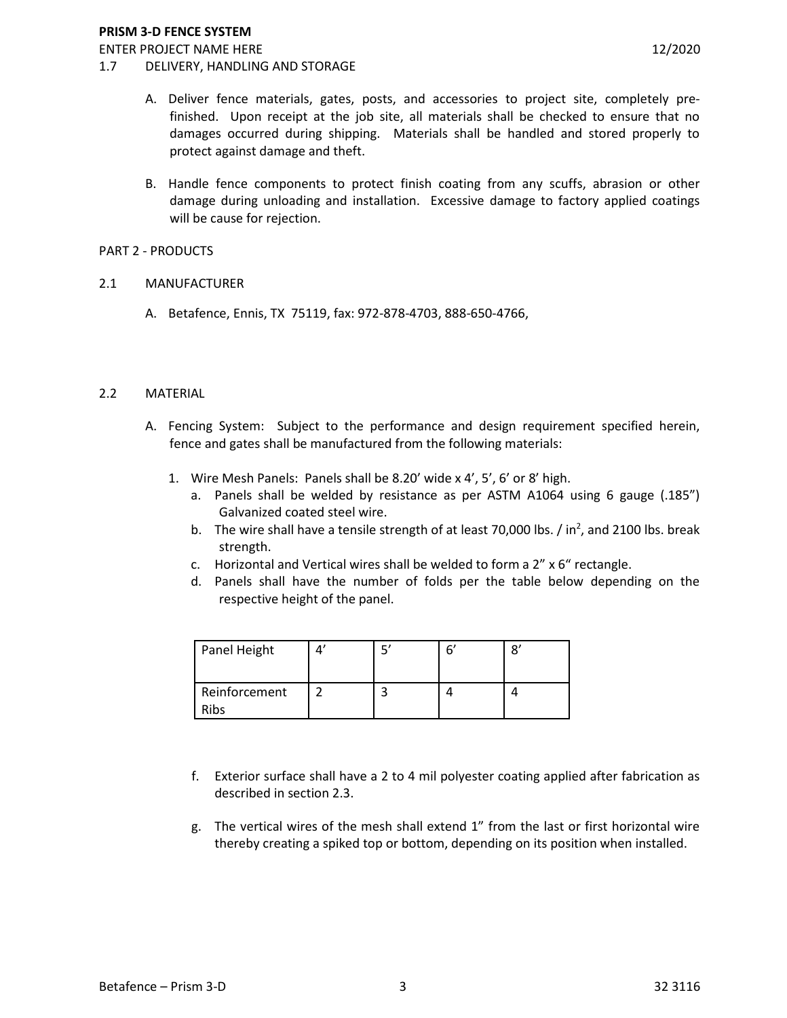## 1.7 DELIVERY, HANDLING AND STORAGE

- A. Deliver fence materials, gates, posts, and accessories to project site, completely prefinished. Upon receipt at the job site, all materials shall be checked to ensure that no damages occurred during shipping. Materials shall be handled and stored properly to protect against damage and theft.
- B. Handle fence components to protect finish coating from any scuffs, abrasion or other damage during unloading and installation. Excessive damage to factory applied coatings will be cause for rejection.

## PART 2 - PRODUCTS

- 2.1 MANUFACTURER
	- A. Betafence, Ennis, TX 75119, fax: 972-878-4703, 888-650-4766,

## 2.2 MATERIAL

- A. Fencing System: Subject to the performance and design requirement specified herein, fence and gates shall be manufactured from the following materials:
	- 1. Wire Mesh Panels: Panels shall be 8.20' wide x 4', 5', 6' or 8' high.
		- a. Panels shall be welded by resistance as per ASTM A1064 using 6 gauge (.185") Galvanized coated steel wire.
		- b. The wire shall have a tensile strength of at least 70,000 lbs.  $/$  in<sup>2</sup>, and 2100 lbs. break strength.
		- c. Horizontal and Vertical wires shall be welded to form a 2" x 6" rectangle.
		- d. Panels shall have the number of folds per the table below depending on the respective height of the panel.

| Panel Height                      |  | 6 |  |
|-----------------------------------|--|---|--|
| Reinforcement<br>יפו <sup>ר</sup> |  |   |  |

- f. Exterior surface shall have a 2 to 4 mil polyester coating applied after fabrication as described in section 2.3.
- g. The vertical wires of the mesh shall extend 1" from the last or first horizontal wire thereby creating a spiked top or bottom, depending on its position when installed.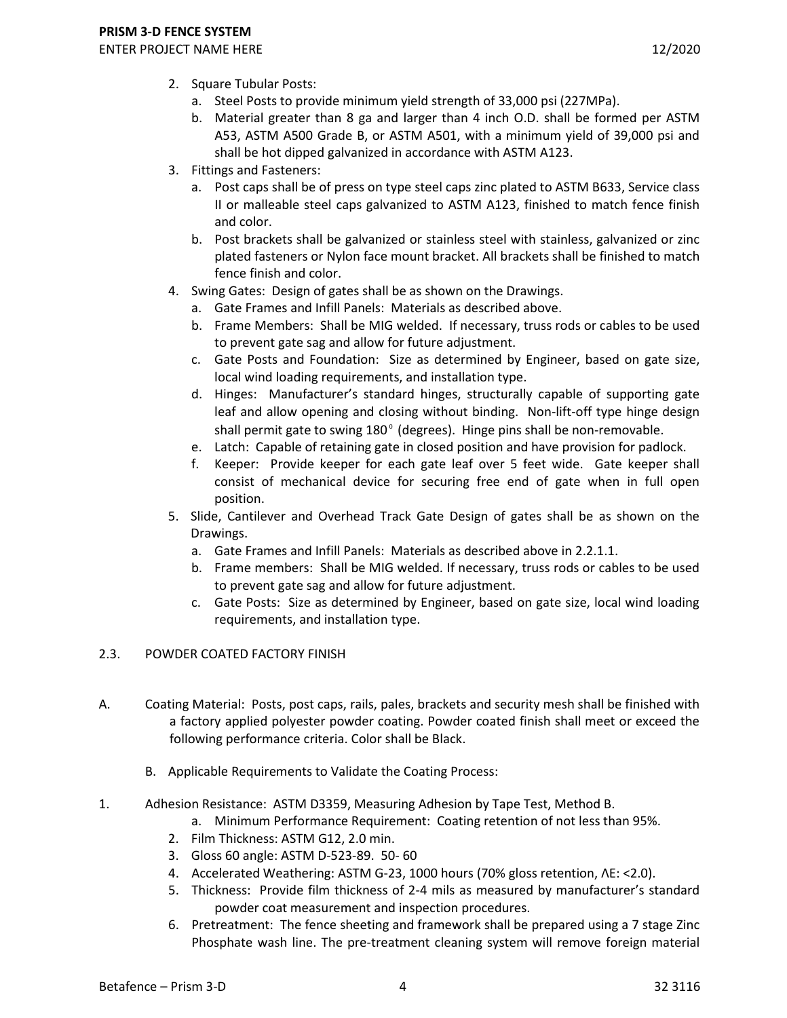- 2. Square Tubular Posts:
	- a. Steel Posts to provide minimum yield strength of 33,000 psi (227MPa).
	- b. Material greater than 8 ga and larger than 4 inch O.D. shall be formed per ASTM A53, ASTM A500 Grade B, or ASTM A501, with a minimum yield of 39,000 psi and shall be hot dipped galvanized in accordance with ASTM A123.
- 3. Fittings and Fasteners:
	- a. Post caps shall be of press on type steel caps zinc plated to ASTM B633, Service class II or malleable steel caps galvanized to ASTM A123, finished to match fence finish and color.
	- b. Post brackets shall be galvanized or stainless steel with stainless, galvanized or zinc plated fasteners or Nylon face mount bracket. All brackets shall be finished to match fence finish and color.
- 4. Swing Gates: Design of gates shall be as shown on the Drawings.
	- a. Gate Frames and Infill Panels: Materials as described above.
	- b. Frame Members: Shall be MIG welded. If necessary, truss rods or cables to be used to prevent gate sag and allow for future adjustment.
	- c. Gate Posts and Foundation: Size as determined by Engineer, based on gate size, local wind loading requirements, and installation type.
	- d. Hinges: Manufacturer's standard hinges, structurally capable of supporting gate leaf and allow opening and closing without binding. Non-lift-off type hinge design shall permit gate to swing  $180^{\circ}$  (degrees). Hinge pins shall be non-removable.
	- e. Latch: Capable of retaining gate in closed position and have provision for padlock.
	- f. Keeper: Provide keeper for each gate leaf over 5 feet wide. Gate keeper shall consist of mechanical device for securing free end of gate when in full open position.
- 5. Slide, Cantilever and Overhead Track Gate Design of gates shall be as shown on the Drawings.
	- a. Gate Frames and Infill Panels: Materials as described above in 2.2.1.1.
	- b. Frame members: Shall be MIG welded. If necessary, truss rods or cables to be used to prevent gate sag and allow for future adjustment.
	- c. Gate Posts: Size as determined by Engineer, based on gate size, local wind loading requirements, and installation type.

# 2.3. POWDER COATED FACTORY FINISH

- A. Coating Material: Posts, post caps, rails, pales, brackets and security mesh shall be finished with a factory applied polyester powder coating. Powder coated finish shall meet or exceed the following performance criteria. Color shall be Black.
	- B. Applicable Requirements to Validate the Coating Process:
- 1. Adhesion Resistance: ASTM D3359, Measuring Adhesion by Tape Test, Method B.
	- a. Minimum Performance Requirement: Coating retention of not less than 95%.
	- 2. Film Thickness: ASTM G12, 2.0 min.
	- 3. Gloss 60 angle: ASTM D-523-89. 50- 60
	- 4. Accelerated Weathering: ASTM G-23, 1000 hours (70% gloss retention,  $\Delta E = 2.0$ ).
	- 5. Thickness: Provide film thickness of 2-4 mils as measured by manufacturer's standard powder coat measurement and inspection procedures.
	- 6. Pretreatment: The fence sheeting and framework shall be prepared using a 7 stage Zinc Phosphate wash line. The pre-treatment cleaning system will remove foreign material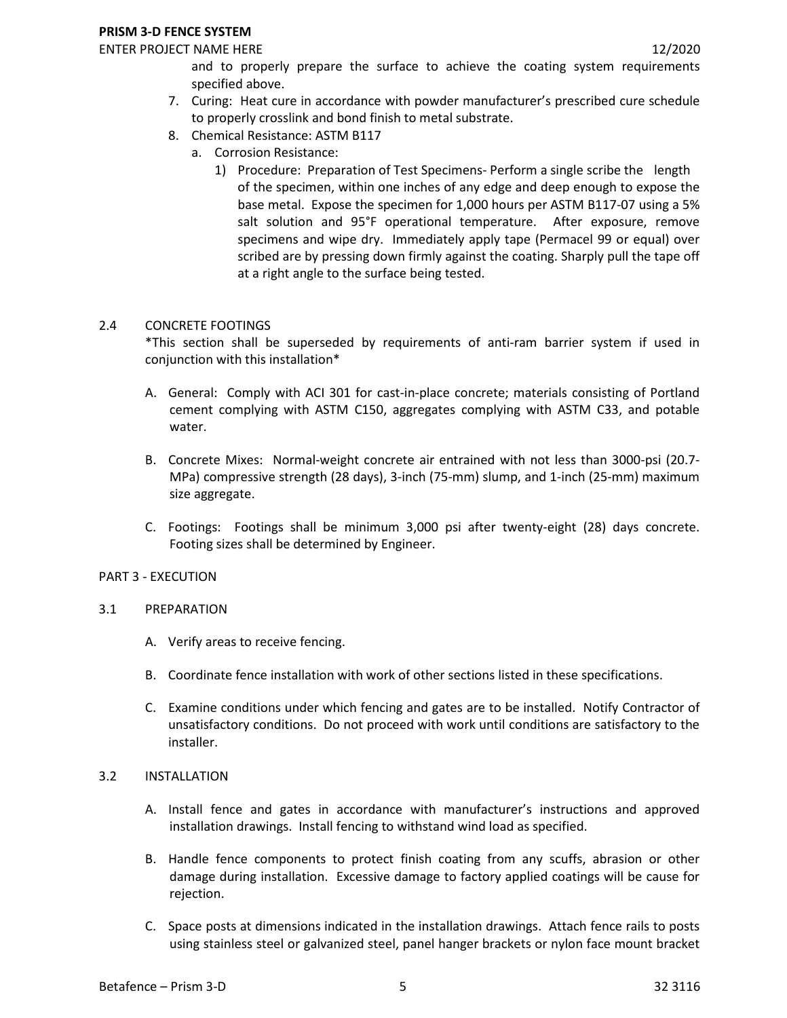### **PRISM 3-D FENCE SYSTEM**

## ENTER PROJECT NAME HERE **12/2020**

and to properly prepare the surface to achieve the coating system requirements specified above.

- 7. Curing: Heat cure in accordance with powder manufacturer's prescribed cure schedule to properly crosslink and bond finish to metal substrate.
- 8. Chemical Resistance: ASTM B117
	- a. Corrosion Resistance:
		- 1) Procedure: Preparation of Test Specimens- Perform a single scribe the length of the specimen, within one inches of any edge and deep enough to expose the base metal. Expose the specimen for 1,000 hours per ASTM B117-07 using a 5% salt solution and 95°F operational temperature. After exposure, remove specimens and wipe dry. Immediately apply tape (Permacel 99 or equal) over scribed are by pressing down firmly against the coating. Sharply pull the tape off at a right angle to the surface being tested.

## 2.4 CONCRETE FOOTINGS

\*This section shall be superseded by requirements of anti-ram barrier system if used in conjunction with this installation\*

- A. General: Comply with ACI 301 for cast-in-place concrete; materials consisting of Portland cement complying with ASTM C150, aggregates complying with ASTM C33, and potable water.
- B. Concrete Mixes: Normal-weight concrete air entrained with not less than 3000-psi (20.7- MPa) compressive strength (28 days), 3-inch (75-mm) slump, and 1-inch (25-mm) maximum size aggregate.
- C. Footings: Footings shall be minimum 3,000 psi after twenty-eight (28) days concrete. Footing sizes shall be determined by Engineer.

## PART 3 - EXECUTION

## 3.1 PREPARATION

- A. Verify areas to receive fencing.
- B. Coordinate fence installation with work of other sections listed in these specifications.
- C. Examine conditions under which fencing and gates are to be installed. Notify Contractor of unsatisfactory conditions. Do not proceed with work until conditions are satisfactory to the installer.

## 3.2 INSTALLATION

- A. Install fence and gates in accordance with manufacturer's instructions and approved installation drawings. Install fencing to withstand wind load as specified.
- B. Handle fence components to protect finish coating from any scuffs, abrasion or other damage during installation. Excessive damage to factory applied coatings will be cause for rejection.
- C. Space posts at dimensions indicated in the installation drawings. Attach fence rails to posts using stainless steel or galvanized steel, panel hanger brackets or nylon face mount bracket